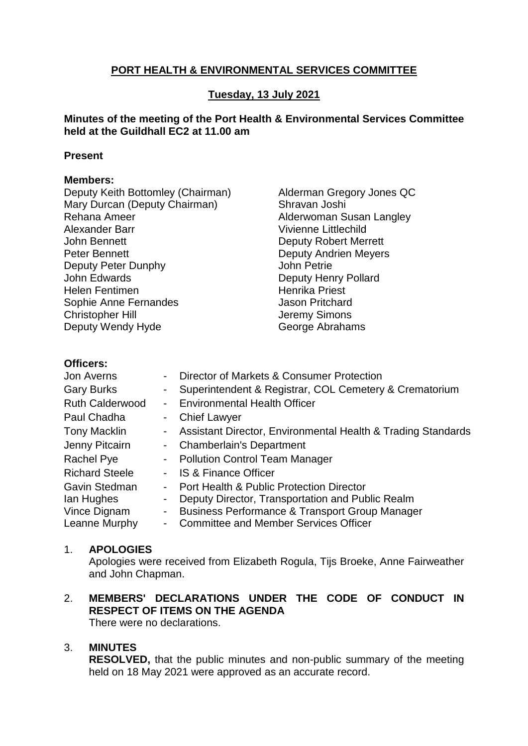# **PORT HEALTH & ENVIRONMENTAL SERVICES COMMITTEE**

## **Tuesday, 13 July 2021**

## **Minutes of the meeting of the Port Health & Environmental Services Committee held at the Guildhall EC2 at 11.00 am**

#### **Present**

#### **Members:**

Deputy Keith Bottomley (Chairman) Mary Durcan (Deputy Chairman) Rehana Ameer Alexander Barr John Bennett Peter Bennett Deputy Peter Dunphy John Edwards Helen Fentimen Sophie Anne Fernandes Christopher Hill Deputy Wendy Hyde

Alderman Gregory Jones QC Shravan Joshi Alderwoman Susan Langley Vivienne Littlechild Deputy Robert Merrett Deputy Andrien Meyers John Petrie Deputy Henry Pollard Henrika Priest Jason Pritchard Jeremy Simons George Abrahams

## **Officers:**

| <b>Jon Averns</b>      |                  | Director of Markets & Consumer Protection                      |
|------------------------|------------------|----------------------------------------------------------------|
| <b>Gary Burks</b>      | $\sim$ 100 $\mu$ | Superintendent & Registrar, COL Cemetery & Crematorium         |
| <b>Ruth Calderwood</b> | $\sim$           | <b>Environmental Health Officer</b>                            |
| Paul Chadha            |                  | - Chief Lawyer                                                 |
| <b>Tony Macklin</b>    |                  | - Assistant Director, Environmental Health & Trading Standards |
| Jenny Pitcairn         |                  | - Chamberlain's Department                                     |
| Rachel Pye             |                  | - Pollution Control Team Manager                               |
| <b>Richard Steele</b>  | $\sim$           | <b>IS &amp; Finance Officer</b>                                |
| Gavin Stedman          | $\sim$           | Port Health & Public Protection Director                       |
| lan Hughes             | ۰.               | Deputy Director, Transportation and Public Realm               |
| Vince Dignam           | $\blacksquare$   | <b>Business Performance &amp; Transport Group Manager</b>      |
| Leanne Murphy          | $\sim$           | <b>Committee and Member Services Officer</b>                   |

## 1. **APOLOGIES**

Apologies were received from Elizabeth Rogula, Tijs Broeke, Anne Fairweather and John Chapman.

#### 2. **MEMBERS' DECLARATIONS UNDER THE CODE OF CONDUCT IN RESPECT OF ITEMS ON THE AGENDA** There were no declarations.

## 3. **MINUTES**

**RESOLVED,** that the public minutes and non-public summary of the meeting held on 18 May 2021 were approved as an accurate record.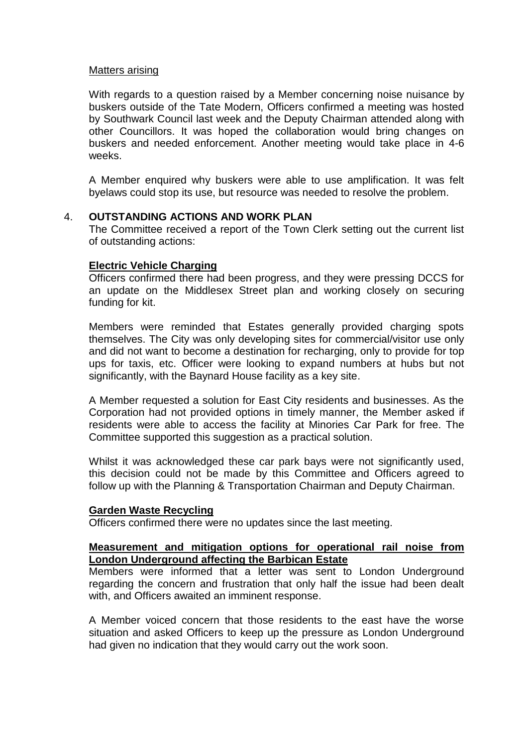#### Matters arising

With regards to a question raised by a Member concerning noise nuisance by buskers outside of the Tate Modern, Officers confirmed a meeting was hosted by Southwark Council last week and the Deputy Chairman attended along with other Councillors. It was hoped the collaboration would bring changes on buskers and needed enforcement. Another meeting would take place in 4-6 weeks.

A Member enquired why buskers were able to use amplification. It was felt byelaws could stop its use, but resource was needed to resolve the problem.

#### 4. **OUTSTANDING ACTIONS AND WORK PLAN**

The Committee received a report of the Town Clerk setting out the current list of outstanding actions:

#### **Electric Vehicle Charging**

Officers confirmed there had been progress, and they were pressing DCCS for an update on the Middlesex Street plan and working closely on securing funding for kit.

Members were reminded that Estates generally provided charging spots themselves. The City was only developing sites for commercial/visitor use only and did not want to become a destination for recharging, only to provide for top ups for taxis, etc. Officer were looking to expand numbers at hubs but not significantly, with the Baynard House facility as a key site.

A Member requested a solution for East City residents and businesses. As the Corporation had not provided options in timely manner, the Member asked if residents were able to access the facility at Minories Car Park for free. The Committee supported this suggestion as a practical solution.

Whilst it was acknowledged these car park bays were not significantly used, this decision could not be made by this Committee and Officers agreed to follow up with the Planning & Transportation Chairman and Deputy Chairman.

#### **Garden Waste Recycling**

Officers confirmed there were no updates since the last meeting.

## **Measurement and mitigation options for operational rail noise from London Underground affecting the Barbican Estate**

Members were informed that a letter was sent to London Underground regarding the concern and frustration that only half the issue had been dealt with, and Officers awaited an imminent response.

A Member voiced concern that those residents to the east have the worse situation and asked Officers to keep up the pressure as London Underground had given no indication that they would carry out the work soon.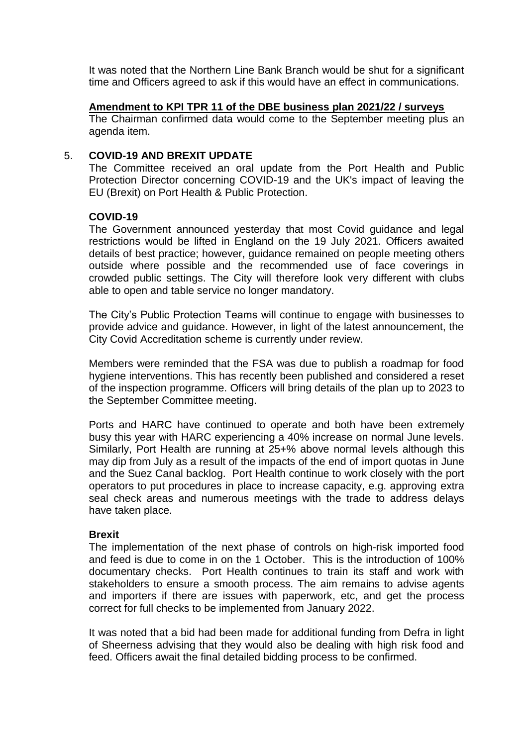It was noted that the Northern Line Bank Branch would be shut for a significant time and Officers agreed to ask if this would have an effect in communications.

## **Amendment to KPI TPR 11 of the DBE business plan 2021/22 / surveys**

The Chairman confirmed data would come to the September meeting plus an agenda item.

#### 5. **COVID-19 AND BREXIT UPDATE**

The Committee received an oral update from the Port Health and Public Protection Director concerning COVID-19 and the UK's impact of leaving the EU (Brexit) on Port Health & Public Protection.

## **COVID-19**

The Government announced yesterday that most Covid guidance and legal restrictions would be lifted in England on the 19 July 2021. Officers awaited details of best practice; however, guidance remained on people meeting others outside where possible and the recommended use of face coverings in crowded public settings. The City will therefore look very different with clubs able to open and table service no longer mandatory.

The City's Public Protection Teams will continue to engage with businesses to provide advice and guidance. However, in light of the latest announcement, the City Covid Accreditation scheme is currently under review.

Members were reminded that the FSA was due to publish a roadmap for food hygiene interventions. This has recently been published and considered a reset of the inspection programme. Officers will bring details of the plan up to 2023 to the September Committee meeting.

Ports and HARC have continued to operate and both have been extremely busy this year with HARC experiencing a 40% increase on normal June levels. Similarly, Port Health are running at 25+% above normal levels although this may dip from July as a result of the impacts of the end of import quotas in June and the Suez Canal backlog. Port Health continue to work closely with the port operators to put procedures in place to increase capacity, e.g. approving extra seal check areas and numerous meetings with the trade to address delays have taken place.

## **Brexit**

The implementation of the next phase of controls on high-risk imported food and feed is due to come in on the 1 October. This is the introduction of 100% documentary checks. Port Health continues to train its staff and work with stakeholders to ensure a smooth process. The aim remains to advise agents and importers if there are issues with paperwork, etc, and get the process correct for full checks to be implemented from January 2022.

It was noted that a bid had been made for additional funding from Defra in light of Sheerness advising that they would also be dealing with high risk food and feed. Officers await the final detailed bidding process to be confirmed.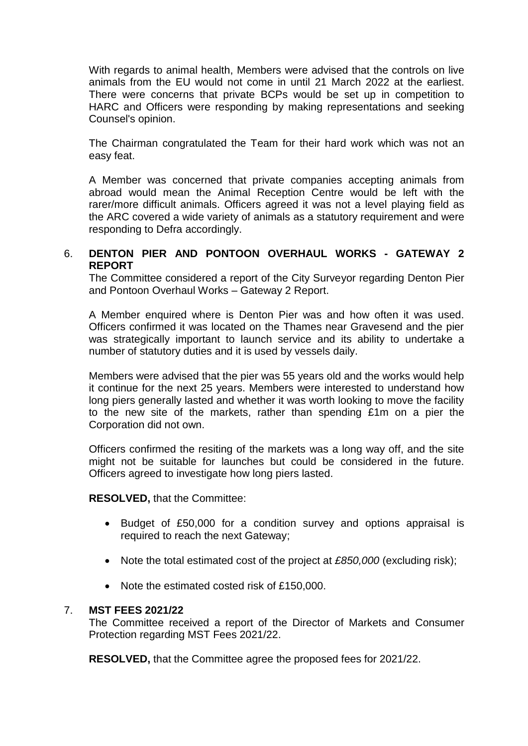With regards to animal health, Members were advised that the controls on live animals from the EU would not come in until 21 March 2022 at the earliest. There were concerns that private BCPs would be set up in competition to HARC and Officers were responding by making representations and seeking Counsel's opinion.

The Chairman congratulated the Team for their hard work which was not an easy feat.

A Member was concerned that private companies accepting animals from abroad would mean the Animal Reception Centre would be left with the rarer/more difficult animals. Officers agreed it was not a level playing field as the ARC covered a wide variety of animals as a statutory requirement and were responding to Defra accordingly.

# 6. **DENTON PIER AND PONTOON OVERHAUL WORKS - GATEWAY 2 REPORT**

The Committee considered a report of the City Surveyor regarding Denton Pier and Pontoon Overhaul Works – Gateway 2 Report.

A Member enquired where is Denton Pier was and how often it was used. Officers confirmed it was located on the Thames near Gravesend and the pier was strategically important to launch service and its ability to undertake a number of statutory duties and it is used by vessels daily.

Members were advised that the pier was 55 years old and the works would help it continue for the next 25 years. Members were interested to understand how long piers generally lasted and whether it was worth looking to move the facility to the new site of the markets, rather than spending £1m on a pier the Corporation did not own.

Officers confirmed the resiting of the markets was a long way off, and the site might not be suitable for launches but could be considered in the future. Officers agreed to investigate how long piers lasted.

**RESOLVED,** that the Committee:

- Budget of £50,000 for a condition survey and options appraisal is required to reach the next Gateway;
- Note the total estimated cost of the project at *£850,000* (excluding risk);
- Note the estimated costed risk of £150,000.

## 7. **MST FEES 2021/22**

The Committee received a report of the Director of Markets and Consumer Protection regarding MST Fees 2021/22.

**RESOLVED,** that the Committee agree the proposed fees for 2021/22.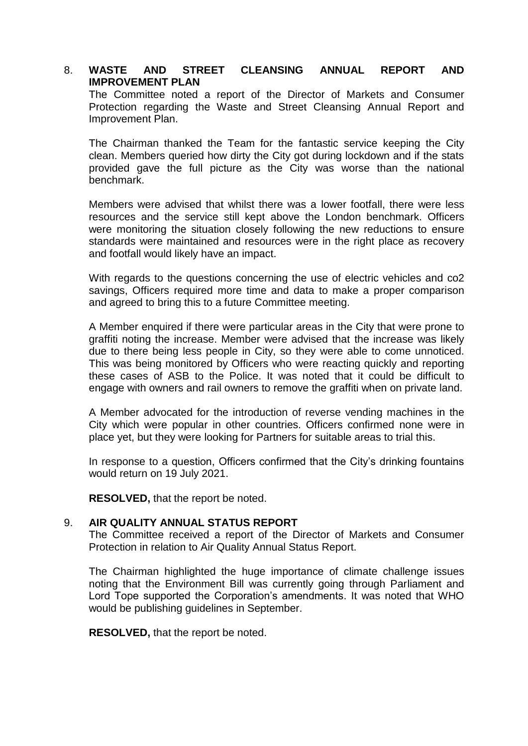## 8. **WASTE AND STREET CLEANSING ANNUAL REPORT AND IMPROVEMENT PLAN**

The Committee noted a report of the Director of Markets and Consumer Protection regarding the Waste and Street Cleansing Annual Report and Improvement Plan.

The Chairman thanked the Team for the fantastic service keeping the City clean. Members queried how dirty the City got during lockdown and if the stats provided gave the full picture as the City was worse than the national benchmark.

Members were advised that whilst there was a lower footfall, there were less resources and the service still kept above the London benchmark. Officers were monitoring the situation closely following the new reductions to ensure standards were maintained and resources were in the right place as recovery and footfall would likely have an impact.

With regards to the questions concerning the use of electric vehicles and co2 savings, Officers required more time and data to make a proper comparison and agreed to bring this to a future Committee meeting.

A Member enquired if there were particular areas in the City that were prone to graffiti noting the increase. Member were advised that the increase was likely due to there being less people in City, so they were able to come unnoticed. This was being monitored by Officers who were reacting quickly and reporting these cases of ASB to the Police. It was noted that it could be difficult to engage with owners and rail owners to remove the graffiti when on private land.

A Member advocated for the introduction of reverse vending machines in the City which were popular in other countries. Officers confirmed none were in place yet, but they were looking for Partners for suitable areas to trial this.

In response to a question, Officers confirmed that the City's drinking fountains would return on 19 July 2021.

**RESOLVED,** that the report be noted.

## 9. **AIR QUALITY ANNUAL STATUS REPORT**

The Committee received a report of the Director of Markets and Consumer Protection in relation to Air Quality Annual Status Report.

The Chairman highlighted the huge importance of climate challenge issues noting that the Environment Bill was currently going through Parliament and Lord Tope supported the Corporation's amendments. It was noted that WHO would be publishing guidelines in September.

**RESOLVED,** that the report be noted.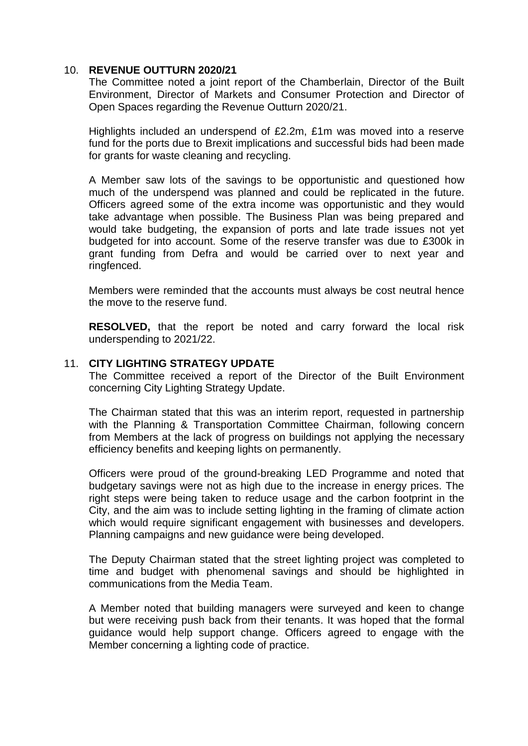#### 10. **REVENUE OUTTURN 2020/21**

The Committee noted a joint report of the Chamberlain, Director of the Built Environment, Director of Markets and Consumer Protection and Director of Open Spaces regarding the Revenue Outturn 2020/21.

Highlights included an underspend of £2.2m, £1m was moved into a reserve fund for the ports due to Brexit implications and successful bids had been made for grants for waste cleaning and recycling.

A Member saw lots of the savings to be opportunistic and questioned how much of the underspend was planned and could be replicated in the future. Officers agreed some of the extra income was opportunistic and they would take advantage when possible. The Business Plan was being prepared and would take budgeting, the expansion of ports and late trade issues not yet budgeted for into account. Some of the reserve transfer was due to £300k in grant funding from Defra and would be carried over to next year and ringfenced.

Members were reminded that the accounts must always be cost neutral hence the move to the reserve fund.

**RESOLVED,** that the report be noted and carry forward the local risk underspending to 2021/22.

## 11. **CITY LIGHTING STRATEGY UPDATE**

The Committee received a report of the Director of the Built Environment concerning City Lighting Strategy Update.

The Chairman stated that this was an interim report, requested in partnership with the Planning & Transportation Committee Chairman, following concern from Members at the lack of progress on buildings not applying the necessary efficiency benefits and keeping lights on permanently.

Officers were proud of the ground-breaking LED Programme and noted that budgetary savings were not as high due to the increase in energy prices. The right steps were being taken to reduce usage and the carbon footprint in the City, and the aim was to include setting lighting in the framing of climate action which would require significant engagement with businesses and developers. Planning campaigns and new guidance were being developed.

The Deputy Chairman stated that the street lighting project was completed to time and budget with phenomenal savings and should be highlighted in communications from the Media Team.

A Member noted that building managers were surveyed and keen to change but were receiving push back from their tenants. It was hoped that the formal guidance would help support change. Officers agreed to engage with the Member concerning a lighting code of practice.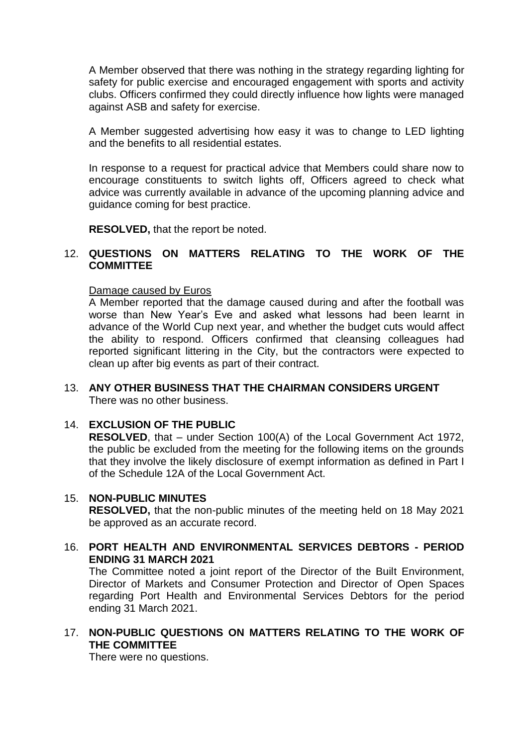A Member observed that there was nothing in the strategy regarding lighting for safety for public exercise and encouraged engagement with sports and activity clubs. Officers confirmed they could directly influence how lights were managed against ASB and safety for exercise.

A Member suggested advertising how easy it was to change to LED lighting and the benefits to all residential estates.

In response to a request for practical advice that Members could share now to encourage constituents to switch lights off, Officers agreed to check what advice was currently available in advance of the upcoming planning advice and guidance coming for best practice.

**RESOLVED,** that the report be noted.

## 12. **QUESTIONS ON MATTERS RELATING TO THE WORK OF THE COMMITTEE**

#### Damage caused by Euros

A Member reported that the damage caused during and after the football was worse than New Year's Eve and asked what lessons had been learnt in advance of the World Cup next year, and whether the budget cuts would affect the ability to respond. Officers confirmed that cleansing colleagues had reported significant littering in the City, but the contractors were expected to clean up after big events as part of their contract.

#### 13. **ANY OTHER BUSINESS THAT THE CHAIRMAN CONSIDERS URGENT** There was no other business.

#### 14. **EXCLUSION OF THE PUBLIC**

**RESOLVED**, that – under Section 100(A) of the Local Government Act 1972, the public be excluded from the meeting for the following items on the grounds that they involve the likely disclosure of exempt information as defined in Part I of the Schedule 12A of the Local Government Act.

#### 15. **NON-PUBLIC MINUTES**

**RESOLVED,** that the non-public minutes of the meeting held on 18 May 2021 be approved as an accurate record.

16. **PORT HEALTH AND ENVIRONMENTAL SERVICES DEBTORS - PERIOD ENDING 31 MARCH 2021**

The Committee noted a joint report of the Director of the Built Environment, Director of Markets and Consumer Protection and Director of Open Spaces regarding Port Health and Environmental Services Debtors for the period ending 31 March 2021.

## 17. **NON-PUBLIC QUESTIONS ON MATTERS RELATING TO THE WORK OF THE COMMITTEE**

There were no questions.